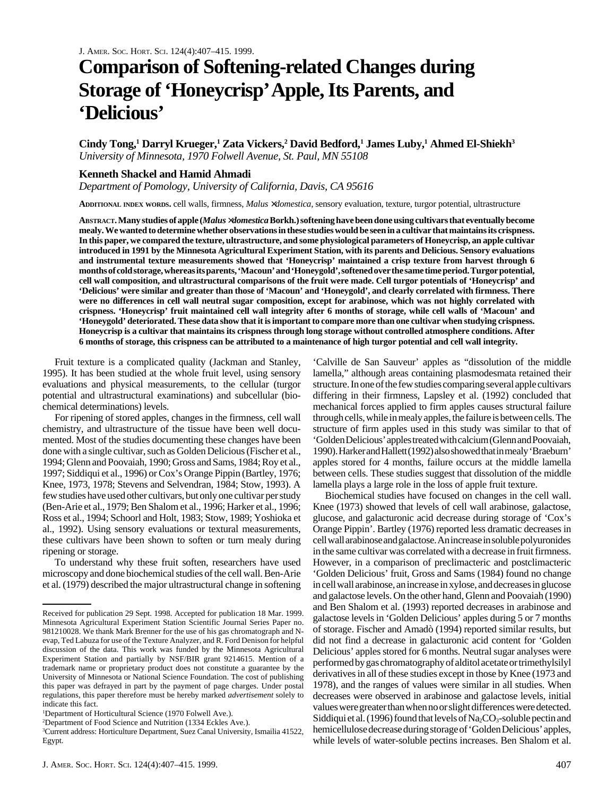# **Comparison of Softening-related Changes during Storage of 'Honeycrisp' Apple, Its Parents, and 'Delicious'**

Cindy Tong,<sup>1</sup> Darryl Krueger,<sup>1</sup> Zata Vickers,<sup>2</sup> David Bedford,<sup>1</sup> James Luby,<sup>1</sup> Ahmed El-Shiekh<sup>3</sup> *University of Minnesota, 1970 Folwell Avenue, St. Paul, MN 55108*

## **Kenneth Shackel and Hamid Ahmadi**

*Department of Pomology, University of California, Davis, CA 95616*

**ADDITIONAL INDEX WORDS.** cell walls, firmness, *Malus* ×*domestica*, sensory evaluation, texture, turgor potential, ultrastructure

**ABSTRACT. Many studies of apple (***Malus* ×*domestica* **Borkh.) softening have been done using cultivars that eventually become mealy. We wanted to determine whether observations in these studies would be seen in a cultivar that maintains its crispness. In this paper, we compared the texture, ultrastructure, and some physiological parameters of Honeycrisp, an apple cultivar introduced in 1991 by the Minnesota Agricultural Experiment Station, with its parents and Delicious. Sensory evaluations and instrumental texture measurements showed that 'Honeycrisp' maintained a crisp texture from harvest through 6 months of cold storage, whereas its parents, 'Macoun' and 'Honeygold', softened over the same time period. Turgor potential, cell wall composition, and ultrastructural comparisons of the fruit were made. Cell turgor potentials of 'Honeycrisp' and 'Delicious' were similar and greater than those of 'Macoun' and 'Honeygold', and clearly correlated with firmness. There were no differences in cell wall neutral sugar composition, except for arabinose, which was not highly correlated with crispness. 'Honeycrisp' fruit maintained cell wall integrity after 6 months of storage, while cell walls of 'Macoun' and 'Honeygold' deteriorated. These data show that it is important to compare more than one cultivar when studying crispness. Honeycrisp is a cultivar that maintains its crispness through long storage without controlled atmosphere conditions. After 6 months of storage, this crispness can be attributed to a maintenance of high turgor potential and cell wall integrity.**

Fruit texture is a complicated quality (Jackman and Stanley, 1995). It has been studied at the whole fruit level, using sensory evaluations and physical measurements, to the cellular (turgor potential and ultrastructural examinations) and subcellular (biochemical determinations) levels.

For ripening of stored apples, changes in the firmness, cell wall chemistry, and ultrastructure of the tissue have been well documented. Most of the studies documenting these changes have been done with a single cultivar, such as Golden Delicious (Fischer et al., 1994; Glenn and Poovaiah, 1990; Gross and Sams, 1984; Roy et al., 1997; Siddiqui et al., 1996) or Cox's Orange Pippin (Bartley, 1976; Knee, 1973, 1978; Stevens and Selvendran, 1984; Stow, 1993). A few studies have used other cultivars, but only one cultivar per study (Ben-Arie et al., 1979; Ben Shalom et al., 1996; Harker et al., 1996; Ross et al., 1994; Schoorl and Holt, 1983; Stow, 1989; Yoshioka et al., 1992). Using sensory evaluations or textural measurements, these cultivars have been shown to soften or turn mealy during ripening or storage.

To understand why these fruit soften, researchers have used microscopy and done biochemical studies of the cell wall. Ben-Arie et al. (1979) described the major ultrastructural change in softening

'Calville de San Sauveur' apples as "dissolution of the middle lamella," although areas containing plasmodesmata retained their structure. In one of the few studies comparing several apple cultivars differing in their firmness, Lapsley et al. (1992) concluded that mechanical forces applied to firm apples causes structural failure through cells, while in mealy apples, the failure is between cells. The structure of firm apples used in this study was similar to that of 'Golden Delicious' apples treated with calcium (Glenn and Poovaiah, 1990). Harker and Hallett (1992) also showed that in mealy 'Braeburn' apples stored for 4 months, failure occurs at the middle lamella between cells. These studies suggest that dissolution of the middle lamella plays a large role in the loss of apple fruit texture.

Biochemical studies have focused on changes in the cell wall. Knee (1973) showed that levels of cell wall arabinose, galactose, glucose, and galacturonic acid decrease during storage of 'Cox's Orange Pippin'. Bartley (1976) reported less dramatic decreases in cell wall arabinose and galactose. An increase in soluble polyuronides in the same cultivar was correlated with a decrease in fruit firmness. However, in a comparison of preclimacteric and postclimacteric 'Golden Delicious' fruit, Gross and Sams (1984) found no change in cell wall arabinose, an increase in xylose, and decreases in glucose and galactose levels. On the other hand, Glenn and Poovaiah (1990) and Ben Shalom et al. (1993) reported decreases in arabinose and galactose levels in 'Golden Delicious' apples during 5 or 7 months of storage. Fischer and Amadò (1994) reported similar results, but did not find a decrease in galacturonic acid content for 'Golden Delicious' apples stored for 6 months. Neutral sugar analyses were performed by gas chromatography of alditol acetate or trimethylsilyl derivatives in all of these studies except in those by Knee (1973 and 1978), and the ranges of values were similar in all studies. When decreases were observed in arabinose and galactose levels, initial values were greater than when no or slight differences were detected. Siddiqui et al. (1996) found that levels of  $Na_2CO_3$ -soluble pectin and hemicellulose decrease during storage of 'Golden Delicious' apples, while levels of water-soluble pectins increases. Ben Shalom et al.

Received for publication 29 Sept. 1998. Accepted for publication 18 Mar. 1999. Minnesota Agricultural Experiment Station Scientific Journal Series Paper no. 981210028. We thank Mark Brenner for the use of his gas chromatograph and Nevap, Ted Labuza for use of the Texture Analyzer, and R. Ford Denison for helpful discussion of the data. This work was funded by the Minnesota Agricultural Experiment Station and partially by NSF/BIR grant 9214615. Mention of a trademark name or proprietary product does not constitute a guarantee by the University of Minnesota or National Science Foundation. The cost of publishing this paper was defrayed in part by the payment of page charges. Under postal regulations, this paper therefore must be hereby marked *advertisement* solely to indicate this fact.

<sup>&</sup>lt;sup>1</sup>Department of Horticultural Science (1970 Folwell Ave.).

<sup>2</sup> Department of Food Science and Nutrition (1334 Eckles Ave.).

<sup>3</sup> Current address: Horticulture Department, Suez Canal University, Ismailia 41522, Egypt.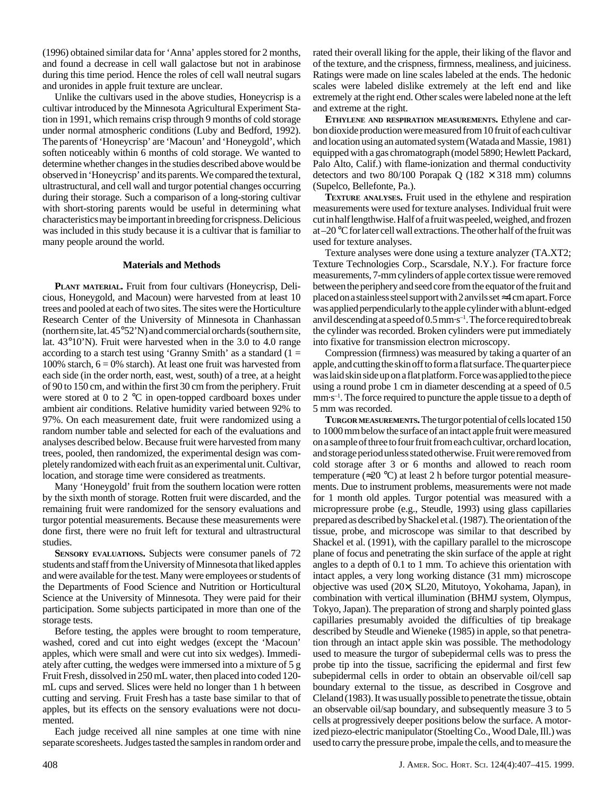(1996) obtained similar data for 'Anna' apples stored for 2 months, and found a decrease in cell wall galactose but not in arabinose during this time period. Hence the roles of cell wall neutral sugars and uronides in apple fruit texture are unclear.

Unlike the cultivars used in the above studies, Honeycrisp is a cultivar introduced by the Minnesota Agricultural Experiment Station in 1991, which remains crisp through 9 months of cold storage under normal atmospheric conditions (Luby and Bedford, 1992). The parents of 'Honeycrisp' are 'Macoun' and 'Honeygold', which soften noticeably within 6 months of cold storage. We wanted to determine whether changes in the studies described above would be observed in 'Honeycrisp' and its parents. We compared the textural, ultrastructural, and cell wall and turgor potential changes occurring during their storage. Such a comparison of a long-storing cultivar with short-storing parents would be useful in determining what characteristics may be important in breeding for crispness. Delicious was included in this study because it is a cultivar that is familiar to many people around the world.

### **Materials and Methods**

**PLANT MATERIAL.** Fruit from four cultivars (Honeycrisp, Delicious, Honeygold, and Macoun) were harvested from at least 10 trees and pooled at each of two sites. The sites were the Horticulture Research Center of the University of Minnesota in Chanhassan (northern site, lat. 45°52'N) and commercial orchards (southern site, lat. 43°10'N). Fruit were harvested when in the 3.0 to 4.0 range according to a starch test using 'Granny Smith' as a standard  $(1 =$ 100% starch,  $6 = 0\%$  starch). At least one fruit was harvested from each side (in the order north, east, west, south) of a tree, at a height of 90 to 150 cm, and within the first 30 cm from the periphery. Fruit were stored at 0 to 2 °C in open-topped cardboard boxes under ambient air conditions. Relative humidity varied between 92% to 97%. On each measurement date, fruit were randomized using a random number table and selected for each of the evaluations and analyses described below. Because fruit were harvested from many trees, pooled, then randomized, the experimental design was completely randomized with each fruit as an experimental unit. Cultivar, location, and storage time were considered as treatments.

Many 'Honeygold' fruit from the southern location were rotten by the sixth month of storage. Rotten fruit were discarded, and the remaining fruit were randomized for the sensory evaluations and turgor potential measurements. Because these measurements were done first, there were no fruit left for textural and ultrastructural studies.

**SENSORY EVALUATIONS.** Subjects were consumer panels of 72 students and staff from the University of Minnesota that liked apples and were available for the test. Many were employees or students of the Departments of Food Science and Nutrition or Horticultural Science at the University of Minnesota. They were paid for their participation. Some subjects participated in more than one of the storage tests.

Before testing, the apples were brought to room temperature, washed, cored and cut into eight wedges (except the 'Macoun' apples, which were small and were cut into six wedges). Immediately after cutting, the wedges were immersed into a mixture of 5 g Fruit Fresh, dissolved in 250 mL water, then placed into coded 120mL cups and served. Slices were held no longer than 1 h between cutting and serving. Fruit Fresh has a taste base similar to that of apples, but its effects on the sensory evaluations were not documented.

Each judge received all nine samples at one time with nine separate scoresheets. Judges tasted the samples in random order and

rated their overall liking for the apple, their liking of the flavor and of the texture, and the crispness, firmness, mealiness, and juiciness. Ratings were made on line scales labeled at the ends. The hedonic scales were labeled dislike extremely at the left end and like extremely at the right end. Other scales were labeled none at the left and extreme at the right.

**ETHYLENE AND RESPIRATION MEASUREMENTS.** Ethylene and carbon dioxide production were measured from 10 fruit of each cultivar and location using an automated system (Watada and Massie, 1981) equipped with a gas chromatograph (model 5890; Hewlett Packard, Palo Alto, Calif.) with flame-ionization and thermal conductivity detectors and two 80/100 Porapak Q (182  $\times$  318 mm) columns (Supelco, Bellefonte, Pa.).

**TEXTURE ANALYSES.** Fruit used in the ethylene and respiration measurements were used for texture analyses. Individual fruit were cut in half lengthwise. Half of a fruit was peeled, weighed, and frozen at –20 °C for later cell wall extractions. The other half of the fruit was used for texture analyses.

Texture analyses were done using a texture analyzer (TA.XT2; Texture Technologies Corp., Scarsdale, N.Y.). For fracture force measurements, 7-mm cylinders of apple cortex tissue were removed between the periphery and seed core from the equator of the fruit and placed on a stainless steel support with 2 anvils set ≈4 cm apart. Force was applied perpendicularly to the apple cylinder with a blunt-edged anvil descending at a speed of  $0.5$  mm·s<sup>-1</sup>. The force required to break the cylinder was recorded. Broken cylinders were put immediately into fixative for transmission electron microscopy.

Compression (firmness) was measured by taking a quarter of an apple, and cutting the skin off to form a flat surface. The quarter piece was laid skin side up on a flat platform. Force was applied to the piece using a round probe 1 cm in diameter descending at a speed of 0.5 mm·s<sup>-1</sup>. The force required to puncture the apple tissue to a depth of 5 mm was recorded.

**TURGOR MEASUREMENTS.** The turgor potential of cells located 150 to 1000 mm below the surface of an intact apple fruit were measured on a sample of three to four fruit from each cultivar, orchard location, and storage period unless stated otherwise. Fruit were removed from cold storage after 3 or 6 months and allowed to reach room temperature ( $\approx$ 20 °C) at least 2 h before turgor potential measurements. Due to instrument problems, measurements were not made for 1 month old apples. Turgor potential was measured with a micropressure probe (e.g., Steudle, 1993) using glass capillaries prepared as described by Shackel et al. (1987). The orientation of the tissue, probe, and microscope was similar to that described by Shackel et al. (1991), with the capillary parallel to the microscope plane of focus and penetrating the skin surface of the apple at right angles to a depth of 0.1 to 1 mm. To achieve this orientation with intact apples, a very long working distance (31 mm) microscope objective was used (20×, SL20, Mitutoyo, Yokohama, Japan), in combination with vertical illumination (BHMJ system, Olympus, Tokyo, Japan). The preparation of strong and sharply pointed glass capillaries presumably avoided the difficulties of tip breakage described by Steudle and Wieneke (1985) in apple, so that penetration through an intact apple skin was possible. The methodology used to measure the turgor of subepidermal cells was to press the probe tip into the tissue, sacrificing the epidermal and first few subepidermal cells in order to obtain an observable oil/cell sap boundary external to the tissue, as described in Cosgrove and Cleland (1983). It was usually possible to penetrate the tissue, obtain an observable oil/sap boundary, and subsequently measure 3 to 5 cells at progressively deeper positions below the surface. A motorized piezo-electric manipulator (Stoelting Co., Wood Dale, Ill.) was used to carry the pressure probe, impale the cells, and to measure the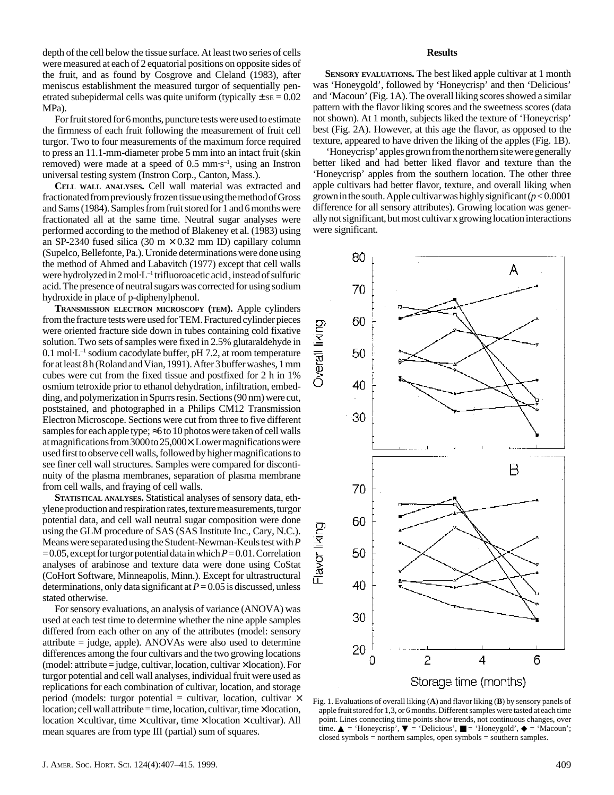depth of the cell below the tissue surface. At least two series of cells were measured at each of 2 equatorial positions on opposite sides of the fruit, and as found by Cosgrove and Cleland (1983), after meniscus establishment the measured turgor of sequentially penetrated subepidermal cells was quite uniform (typically  $\pm$  se = 0.02 MPa).

For fruit stored for 6 months, puncture tests were used to estimate the firmness of each fruit following the measurement of fruit cell turgor. Two to four measurements of the maximum force required to press an 11.1-mm-diameter probe 5 mm into an intact fruit (skin removed) were made at a speed of  $0.5 \text{ mm} \cdot \text{s}^{-1}$ , using an Instron universal testing system (Instron Corp., Canton, Mass.).

**CELL WALL ANALYSES.** Cell wall material was extracted and fractionated from previously frozen tissue using the method of Gross and Sams (1984). Samples from fruit stored for 1 and 6 months were fractionated all at the same time. Neutral sugar analyses were performed according to the method of Blakeney et al. (1983) using an SP-2340 fused silica (30 m  $\times$  0.32 mm ID) capillary column (Supelco, Bellefonte, Pa.). Uronide determinations were done using the method of Ahmed and Labavitch (1977) except that cell walls were hydrolyzed in  $2 \text{ mol} \cdot L^{-1}$  trifluoroacetic acid, instead of sulfuric acid. The presence of neutral sugars was corrected for using sodium hydroxide in place of p-diphenylphenol.

**TRANSMISSION ELECTRON MICROSCOPY (TEM).** Apple cylinders from the fracture tests were used for TEM. Fractured cylinder pieces were oriented fracture side down in tubes containing cold fixative solution. Two sets of samples were fixed in 2.5% glutaraldehyde in  $0.1 \text{ mol} \cdot L^{-1}$  sodium cacodylate buffer, pH 7.2, at room temperature for at least 8 h (Roland and Vian, 1991). After 3 buffer washes, 1 mm cubes were cut from the fixed tissue and postfixed for 2 h in 1% osmium tetroxide prior to ethanol dehydration, infiltration, embedding, and polymerization in Spurrs resin. Sections (90 nm) were cut, poststained, and photographed in a Philips CM12 Transmission Electron Microscope. Sections were cut from three to five different samples for each apple type;  $\approx$  6 to 10 photos were taken of cell walls at magnifications from 3000 to 25,000×. Lower magnifications were used first to observe cell walls, followed by higher magnifications to see finer cell wall structures. Samples were compared for discontinuity of the plasma membranes, separation of plasma membrane from cell walls, and fraying of cell walls.

**STATISTICAL ANALYSES.** Statistical analyses of sensory data, ethylene production and respiration rates, texture measurements, turgor potential data, and cell wall neutral sugar composition were done using the GLM procedure of SAS (SAS Institute Inc., Cary, N.C.). Means were separated using the Student-Newman-Keuls test with *P*  $= 0.05$ , except for turgor potential data in which  $P = 0.01$ . Correlation analyses of arabinose and texture data were done using CoStat (CoHort Software, Minneapolis, Minn.). Except for ultrastructural determinations, only data significant at  $P = 0.05$  is discussed, unless stated otherwise.

For sensory evaluations, an analysis of variance (ANOVA) was used at each test time to determine whether the nine apple samples differed from each other on any of the attributes (model: sensory attribute = judge, apple). ANOVAs were also used to determine differences among the four cultivars and the two growing locations  $(model: attribute = judge, cultivar, location, cultivar \times location). For$ turgor potential and cell wall analyses, individual fruit were used as replications for each combination of cultivar, location, and storage period (models: turgor potential = cultivar, location, cultivar  $\times$  $location$ ; cell wall attribute = time, location, cultivar, time  $\times$  location, location  $\times$  cultivar, time  $\times$  cultivar, time  $\times$  location  $\times$  cultivar). All mean squares are from type III (partial) sum of squares.

### **Results**

**SENSORY EVALUATIONS.** The best liked apple cultivar at 1 month was 'Honeygold', followed by 'Honeycrisp' and then 'Delicious' and 'Macoun' (Fig. 1A). The overall liking scores showed a similar pattern with the flavor liking scores and the sweetness scores (data not shown). At 1 month, subjects liked the texture of 'Honeycrisp' best (Fig. 2A). However, at this age the flavor, as opposed to the texture, appeared to have driven the liking of the apples (Fig. 1B).

 'Honeycrisp' apples grown from the northern site were generally better liked and had better liked flavor and texture than the 'Honeycrisp' apples from the southern location. The other three apple cultivars had better flavor, texture, and overall liking when grown in the south. Apple cultivar was highly significant (*p* < 0.0001 difference for all sensory attributes). Growing location was generally not significant, but most cultivar x growing location interactions were significant.



Fig. 1. Evaluations of overall liking (**A**) and flavor liking (**B**) by sensory panels of apple fruit stored for 1,3, or 6 months. Different samples were tasted at each time point. Lines connecting time points show trends, not continuous changes, over time.  $\triangle$  = 'Honeycrisp',  $\nabla$  = 'Delicious',  $\square$  = 'Honeygold',  $\blacklozenge$  = 'Macoun'; closed symbols = northern samples, open symbols = southern samples.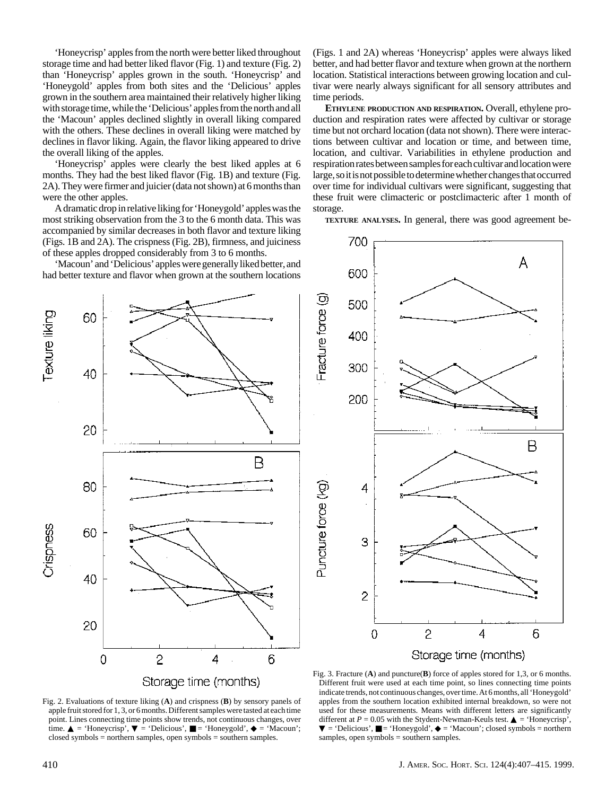'Honeycrisp' apples from the north were better liked throughout storage time and had better liked flavor (Fig. 1) and texture (Fig. 2) than 'Honeycrisp' apples grown in the south. 'Honeycrisp' and 'Honeygold' apples from both sites and the 'Delicious' apples grown in the southern area maintained their relatively higher liking with storage time, while the 'Delicious' apples from the north and all the 'Macoun' apples declined slightly in overall liking compared with the others. These declines in overall liking were matched by declines in flavor liking. Again, the flavor liking appeared to drive the overall liking of the apples.

'Honeycrisp' apples were clearly the best liked apples at 6 months. They had the best liked flavor (Fig. 1B) and texture (Fig. 2A). They were firmer and juicier(data not shown) at 6 months than were the other apples.

A dramatic drop in relative liking for 'Honeygold' apples was the most striking observation from the 3 to the 6 month data. This was accompanied by similar decreases in both flavor and texture liking (Figs. 1B and 2A). The crispness (Fig. 2B), firmness, and juiciness of these apples dropped considerably from 3 to 6 months.

'Macoun' and 'Delicious' apples were generally liked better, and had better texture and flavor when grown at the southern locations (Figs. 1 and 2A) whereas 'Honeycrisp' apples were always liked better, and had better flavor and texture when grown at the northern location. Statistical interactions between growing location and cultivar were nearly always significant for all sensory attributes and time periods.

**ETHYLENE PRODUCTION AND RESPIRATION.** Overall, ethylene production and respiration rates were affected by cultivar or storage time but not orchard location (data not shown). There were interactions between cultivar and location or time, and between time, location, and cultivar. Variabilities in ethylene production and respiration rates between samples for each cultivar and location were large, so it is not possible to determine whether changes that occurred over time for individual cultivars were significant, suggesting that these fruit were climacteric or postclimacteric after 1 month of storage.

**TEXTURE ANALYSES.** In general, there was good agreement be-





Storage time (months)

Fig. 2. Evaluations of texture liking (**A**) and crispness (**B**) by sensory panels of apple fruit stored for 1, 3, or 6 months. Different samples were tasted at each time point. Lines connecting time points show trends, not continuous changes, over time.  $\triangle$  = 'Honeycrisp',  $\nabla$  = 'Delicious',  $\square$  = 'Honeygold',  $\blacklozenge$  = 'Macoun'; closed symbols = northern samples, open symbols = southern samples.

Fig. 3. Fracture (**A**) and puncture(**B**) force of apples stored for 1,3, or 6 months. Different fruit were used at each time point, so lines connecting time points indicate trends, not continuous changes, over time. At 6 months, all 'Honeygold' apples from the southern location exhibited internal breakdown, so were not used for these measurements. Means with different letters are significantly different at  $P = 0.05$  with the Stydent-Newman-Keuls test.  $\triangle$  = 'Honeycrisp',  $\nabla$  = 'Delicious',  $\blacksquare$  = 'Honeygold',  $\blacklozenge$  = 'Macoun'; closed symbols = northern samples, open symbols = southern samples.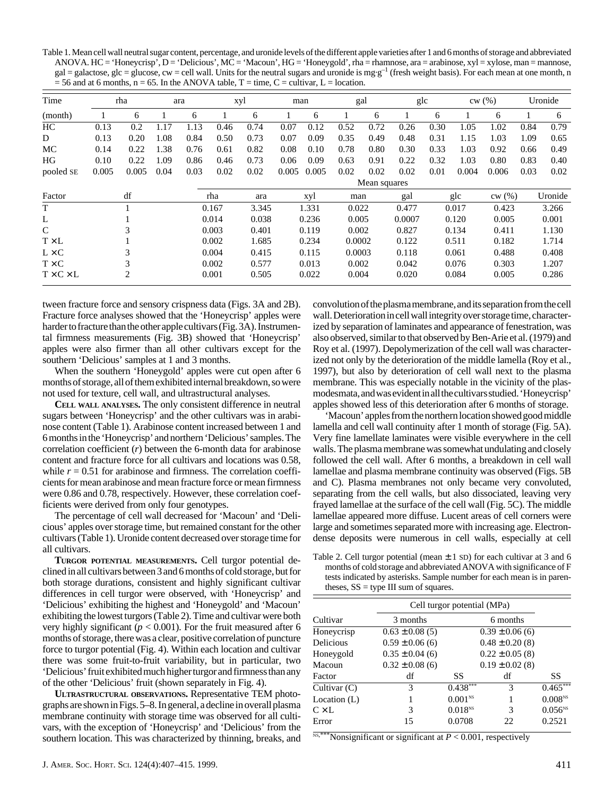Table 1. Mean cell wall neutral sugar content, percentage, and uronide levels of the different apple varieties after 1 and 6 months of storage and abbreviated ANOVA. HC = 'Honeycrisp', D = 'Delicious', MC = 'Macoun', HG = 'Honeygold', rha = rhamnose, ara = arabinose, xyl = xylose, man = mannose,  $gal = galactose, glc = glucose, cw = cell wall. Units for the neutral sugars and uronide is mg·g<sup>-1</sup> (fresh weight basis). For each mean at one month, n$  $= 56$  and at 6 months, n = 65. In the ANOVA table, T = time, C = cultivar, L = location.

| Time                  | rha<br>ara |       | xyl   |       |              | man   |       | gal   |        | glc    |       | cw(%) |       | Uronide |       |         |
|-----------------------|------------|-------|-------|-------|--------------|-------|-------|-------|--------|--------|-------|-------|-------|---------|-------|---------|
| (month)               |            | 6     |       | 6     |              | 6     |       | 6     |        | 6      |       | 6     |       | 6       |       | 6       |
| HС                    | 0.13       | 0.2   | 1.17  | 1.13  | 0.46         | 0.74  | 0.07  | 0.12  | 0.52   | 0.72   | 0.26  | 0.30  | 1.05  | 1.02    | 0.84  | 0.79    |
| D                     | 0.13       | 0.20  | 1.08  | 0.84  | 0.50         | 0.73  | 0.07  | 0.09  | 0.35   | 0.49   | 0.48  | 0.31  | 1.15  | 1.03    | 1.09  | 0.65    |
| МC                    | 0.14       | 0.22  | 1.38  | 0.76  | 0.61         | 0.82  | 0.08  | 0.10  | 0.78   | 0.80   | 0.30  | 0.33  | 1.03  | 0.92    | 0.66  | 0.49    |
| HG                    | 0.10       | 0.22  | .09   | 0.86  | 0.46         | 0.73  | 0.06  | 0.09  | 0.63   | 0.91   | 0.22  | 0.32  | 1.03  | 0.80    | 0.83  | 0.40    |
| pooled SE             | 0.005      | 0.005 | 0.04  | 0.03  | 0.02         | 0.02  | 0.005 | 0.005 | 0.02   | 0.02   | 0.02  | 0.01  | 0.004 | 0.006   | 0.03  | 0.02    |
|                       |            |       |       |       | Mean squares |       |       |       |        |        |       |       |       |         |       |         |
| Factor                |            | df    |       |       | rha          | ara   |       | xyl   | man    |        | gal   |       | glc   | cw(%)   |       | Uronide |
| T                     |            |       |       |       | 0.167        | 3.345 |       | 1.331 | 0.022  |        | 0.477 |       | 0.017 | 0.423   |       | 3.266   |
| L                     |            |       | 0.014 |       | 0.038        |       | 0.236 | 0.005 |        | 0.0007 |       | 0.120 | 0.005 |         | 0.001 |         |
| $\mathcal{C}$         | 3          |       |       | 0.003 |              | 0.401 | 0.119 |       | 0.002  |        | 0.827 | 0.134 |       | 0.411   |       | 1.130   |
| $T \times L$          |            |       |       | 0.002 |              | 1.685 |       | 0.234 | 0.0002 |        | 0.122 |       | 0.511 | 0.182   |       | 1.714   |
| $L \times C$          | 3          |       |       | 0.004 |              | 0.415 |       | 0.115 | 0.0003 |        | 0.118 |       | 0.061 | 0.488   |       | 0.408   |
| $T \times C$          | 3          |       | 0.002 |       | 0.577        |       | 0.013 | 0.002 |        | 0.042  |       | 0.076 | 0.303 |         | 1.207 |         |
| $T \times C \times L$ |            | 2     |       |       | 0.001        | 0.505 |       | 0.022 | 0.004  |        | 0.020 |       | 0.084 | 0.005   |       | 0.286   |

tween fracture force and sensory crispness data (Figs. 3A and 2B). Fracture force analyses showed that the 'Honeycrisp' apples were harder to fracture than the other apple cultivars (Fig. 3A). Instrumental firmness measurements (Fig. 3B) showed that 'Honeycrisp' apples were also firmer than all other cultivars except for the southern 'Delicious' samples at 1 and 3 months.

When the southern 'Honeygold' apples were cut open after 6 months of storage, all of them exhibited internal breakdown, so were not used for texture, cell wall, and ultrastructural analyses.

**CELL WALL ANALYSES.** The only consistent difference in neutral sugars between 'Honeycrisp' and the other cultivars was in arabinose content (Table 1). Arabinose content increased between 1 and 6 months in the 'Honeycrisp' and northern 'Delicious' samples. The correlation coefficient (*r*) between the 6-month data for arabinose content and fracture force for all cultivars and locations was 0.58, while  $r = 0.51$  for arabinose and firmness. The correlation coefficients for mean arabinose and mean fracture force or mean firmness were 0.86 and 0.78, respectively. However, these correlation coefficients were derived from only four genotypes.

The percentage of cell wall decreased for 'Macoun' and 'Delicious' apples over storage time, but remained constant for the other cultivars (Table 1). Uronide content decreased over storage time for all cultivars.

**TURGOR POTENTIAL MEASUREMENTS.** Cell turgor potential declined in all cultivars between 3 and 6 months of cold storage, but for both storage durations, consistent and highly significant cultivar differences in cell turgor were observed, with 'Honeycrisp' and 'Delicious' exhibiting the highest and 'Honeygold' and 'Macoun' exhibiting the lowest turgors (Table 2). Time and cultivar were both very highly significant ( $p < 0.001$ ). For the fruit measured after 6 months of storage, there was a clear, positive correlation of puncture force to turgor potential (Fig. 4). Within each location and cultivar there was some fruit-to-fruit variability, but in particular, two 'Delicious' fruit exhibited much higher turgor and firmness than any of the other 'Delicious' fruit (shown separately in Fig. 4).

**ULTRASTRUCTURAL OBSERVATIONS.** Representative TEM photographs are shown in Figs. 5–8. In general, a decline in overall plasma membrane continuity with storage time was observed for all cultivars, with the exception of 'Honeycrisp' and 'Delicious' from the southern location. This was characterized by thinning, breaks, and

convolution of the plasma membrane, and its separation from the cell wall. Deterioration in cell wall integrity over storage time, characterized by separation of laminates and appearance of fenestration, was also observed, similar to that observed by Ben-Arie et al. (1979) and Roy et al. (1997). Depolymerization of the cell wall was characterized not only by the deterioration of the middle lamella (Roy et al., 1997), but also by deterioration of cell wall next to the plasma membrane. This was especially notable in the vicinity of the plasmodesmata, and was evident in all the cultivars studied. 'Honeycrisp' apples showed less of this deterioration after 6 months of storage.

'Macoun' apples from the northern location showed good middle lamella and cell wall continuity after 1 month of storage (Fig. 5A). Very fine lamellate laminates were visible everywhere in the cell walls. The plasma membrane was somewhat undulating and closely followed the cell wall. After 6 months, a breakdown in cell wall lamellae and plasma membrane continuity was observed (Figs. 5B and C). Plasma membranes not only became very convoluted, separating from the cell walls, but also dissociated, leaving very frayed lamellae at the surface of the cell wall (Fig. 5C). The middle lamellae appeared more diffuse. Lucent areas of cell corners were large and sometimes separated more with increasing age. Electrondense deposits were numerous in cell walls, especially at cell

Table 2. Cell turgor potential (mean  $\pm$  1 sD) for each cultivar at 3 and 6 months of cold storage and abbreviated ANOVA with significance of F tests indicated by asterisks. Sample number for each mean is in parentheses,  $SS =$  type III sum of squares.

|                | Cell turgor potential (MPa) |              |                     |              |  |  |  |  |  |
|----------------|-----------------------------|--------------|---------------------|--------------|--|--|--|--|--|
| Cultivar       | 3 months                    |              |                     |              |  |  |  |  |  |
| Honeycrisp     | $0.63 \pm 0.08(5)$          |              | $0.39 \pm 0.06$ (6) |              |  |  |  |  |  |
| Delicious      | $0.59 \pm 0.06$ (6)         |              | $0.48 \pm 0.20(8)$  |              |  |  |  |  |  |
| Honeygold      | $0.35 \pm 0.04$ (6)         |              | $0.22 \pm 0.05$ (8) |              |  |  |  |  |  |
| Macoun         | $0.32 \pm 0.08$ (6)         |              | $0.19 \pm 0.02$ (8) |              |  |  |  |  |  |
| Factor         | df                          | SS           | df                  | SS           |  |  |  |  |  |
| Cultivar $(C)$ | 3                           | 0.438        | 3                   | $0.465***$   |  |  |  |  |  |
| Location $(L)$ |                             | $0.001^{NS}$ |                     | $0.008^{NS}$ |  |  |  |  |  |
| $C \times L$   | 3                           | $0.018^{NS}$ | 3                   | $0.056^{NS}$ |  |  |  |  |  |
| Error          | 15                          | 0.0708       | 22                  | 0.2521       |  |  |  |  |  |

 $*$ Nonsignificant or significant at  $P < 0.001$ , respectively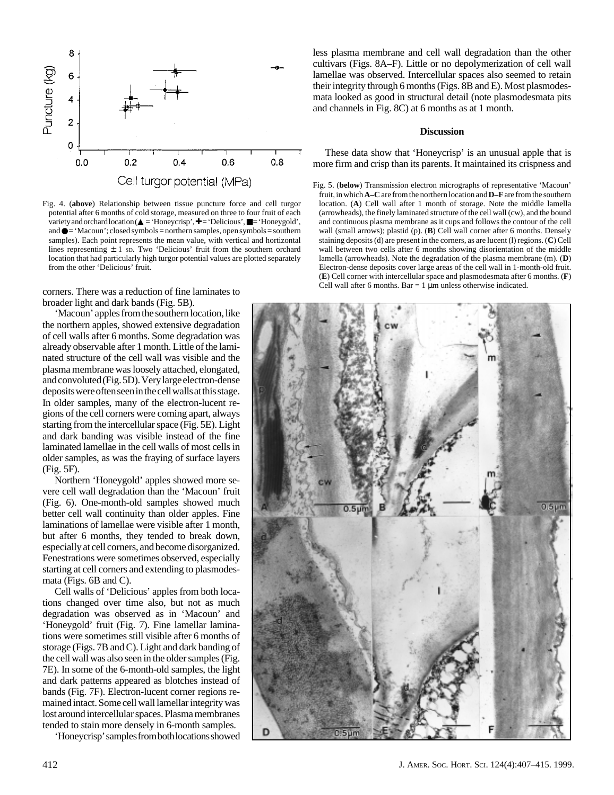

Fig. 4. (**above**) Relationship between tissue puncture force and cell turgor potential after 6 months of cold storage, measured on three to four fruit of each variety and orchard location ( $\blacktriangle = \text{Honeycrisp}$ ,  $\blacktriangleright = \text{Pelicious}$ ,  $\blacktriangleright = \text{Honeygold}$ , and ● = 'Macoun'; closed symbols = northern samples, open symbols = southern samples). Each point represents the mean value, with vertical and hortizontal lines representing  $\pm$  1 sp. Two 'Delicious' fruit from the southern orchard location that had particularly high turgor potential values are plotted separately from the other 'Delicious' fruit.

corners. There was a reduction of fine laminates to broader light and dark bands (Fig. 5B).

'Macoun' apples from the southern location, like the northern apples, showed extensive degradation of cell walls after 6 months. Some degradation was already observable after 1 month. Little of the laminated structure of the cell wall was visible and the plasma membrane was loosely attached, elongated, and convoluted (Fig. 5D). Very large electron-dense deposits were often seen in the cell walls at this stage. In older samples, many of the electron-lucent regions of the cell corners were coming apart, always starting from the intercellular space (Fig. 5E). Light and dark banding was visible instead of the fine laminated lamellae in the cell walls of most cells in older samples, as was the fraying of surface layers (Fig. 5F).

Northern 'Honeygold' apples showed more severe cell wall degradation than the 'Macoun' fruit (Fig. 6). One-month-old samples showed much better cell wall continuity than older apples. Fine laminations of lamellae were visible after 1 month, but after 6 months, they tended to break down, especially at cell corners, and become disorganized. Fenestrations were sometimes observed, especially starting at cell corners and extending to plasmodesmata (Figs. 6B and C).

Cell walls of 'Delicious' apples from both locations changed over time also, but not as much degradation was observed as in 'Macoun' and 'Honeygold' fruit (Fig. 7). Fine lamellar laminations were sometimes still visible after 6 months of storage (Figs. 7B and C). Light and dark banding of the cell wall was also seen in the older samples (Fig. 7E). In some of the 6-month-old samples, the light and dark patterns appeared as blotches instead of bands (Fig. 7F). Electron-lucent corner regions remained intact. Some cell wall lamellar integrity was lost around intercellular spaces. Plasma membranes tended to stain more densely in 6-month samples.

'Honeycrisp' samples from both locations showed

less plasma membrane and cell wall degradation than the other cultivars (Figs. 8A–F). Little or no depolymerization of cell wall lamellae was observed. Intercellular spaces also seemed to retain their integrity through 6 months (Figs. 8B and E). Most plasmodesmata looked as good in structural detail (note plasmodesmata pits and channels in Fig. 8C) at 6 months as at 1 month.

#### **Discussion**

These data show that 'Honeycrisp' is an unusual apple that is more firm and crisp than its parents. It maintained its crispness and

Fig. 5. (**below**) Transmission electron micrographs of representative 'Macoun' fruit, in which **A–C** are from the northern location and **D–F** are from the southern location. (**A**) Cell wall after 1 month of storage. Note the middle lamella (arrowheads), the finely laminated structure of the cell wall (cw), and the bound and continuous plasma membrane as it cups and follows the contour of the cell wall (small arrows); plastid (p). (**B**) Cell wall corner after 6 months. Densely staining deposits (d) are present in the corners, as are lucent (l) regions. (**C**) Cell wall between two cells after 6 months showing disorientation of the middle lamella (arrowheads). Note the degradation of the plasma membrane (m). (**D**) Electron-dense deposits cover large areas of the cell wall in 1-month-old fruit. (**E**) Cell corner with intercellular space and plasmodesmata after 6 months. (**F**) Cell wall after 6 months. Bar = 1  $\mu$ m unless otherwise indicated.

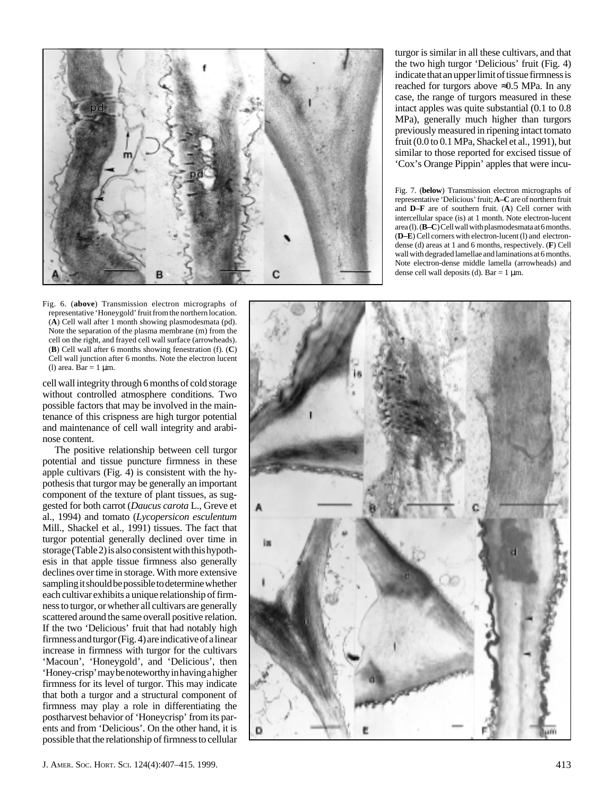

Fig. 6. (**above**) Transmission electron micrographs of representative 'Honeygold' fruit from the northern location. (**A**) Cell wall after 1 month showing plasmodesmata (pd). Note the separation of the plasma membrane (m) from the cell on the right, and frayed cell wall surface (arrowheads). (**B**) Cell wall after 6 months showing fenestration (f). (**C**) Cell wall junction after 6 months. Note the electron lucent (l) area. Bar =  $1 \mu$ m.

cell wall integrity through 6 months of cold storage without controlled atmosphere conditions. Two possible factors that may be involved in the maintenance of this crispness are high turgor potential and maintenance of cell wall integrity and arabinose content.

The positive relationship between cell turgor potential and tissue puncture firmness in these apple cultivars  $(Fig. 4)$  is consistent with the hypothesis that turgor may be generally an important component of the texture of plant tissues, as suggested for both carrot (*Daucus carota* L., Greve et al., 1994) and tomato (*Lycopersicon esculentum* Mill., Shackel et al., 1991) tissues. The fact that turgor potential generally declined over time in storage (Table 2) is also consistent with this hypothesis in that apple tissue firmness also generally declines over time in storage. With more extensive sampling it should be possible to determine whether each cultivar exhibits a unique relationship of firmness to turgor, or whether all cultivars are generally scattered around the same overall positive relation. If the two 'Delicious' fruit that had notably high firmness and turgor (Fig. 4) are indicative of a linear increase in firmness with turgor for the cultivars 'Macoun', 'Honeygold', and 'Delicious', then 'Honey-crisp' may be noteworthy in having a higher firmness for its level of turgor. This may indicate that both a turgor and a structural component of firmness may play a role in differentiating the postharvest behavior of 'Honeycrisp' from its parents and from 'Delicious'. On the other hand, it is possible that the relationship of firmness to cellular

turgor is similar in all these cultivars, and that the two high turgor 'Delicious' fruit (Fig. 4) indicate that an upper limit of tissue firmness is reached for turgors above ≈0.5 MPa. In any case, the range of turgors measured in these intact apples was quite substantial (0.1 to 0.8 MPa), generally much higher than turgors previously measured in ripening intact tomato fruit (0.0 to 0.1 MPa, Shackel et al., 1991), but similar to those reported for excised tissue of 'Cox's Orange Pippin' apples that were incu-

Fig. 7. (**below**) Transmission electron micrographs of representative 'Delicious' fruit; **A–C** are of northern fruit and **D–F** are of southern fruit. ( **A**) Cell corner with intercellular space (is) at 1 month. Note electron-lucent area (l). (**B–C**) Cell wall with plasmodesmata at 6 months. (**D–E**) Cell corners with electron-lucent (l) and electrondense (d) areas at 1 and 6 months, respectively. (**F**) Cell wall with degraded lamellae and laminations at 6 months. Note electron-dense middle lamella (arrowheads) and dense cell wall deposits (d).  $Bar = 1 \mu m$ .

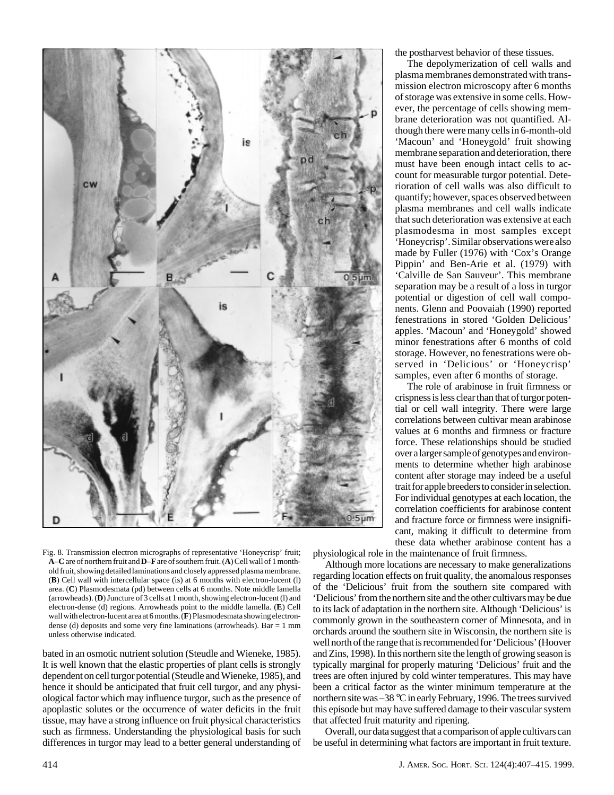

Fig. 8. Transmission electron micrographs of representative 'Honeycrisp' fruit; **A–C** are of northern fruit and **D–F** are of southern fruit. (**A**) Cell wall of 1 monthold fruit, showing detailed laminations and closely appressed plasma membrane. (**B**) Cell wall with intercellular space (is) at 6 months with electron-lucent (l) area. (**C**) Plasmodesmata (pd) between cells at 6 months. Note middle lamella (arrowheads). (**D**) Juncture of 3 cells at 1 month, showing electron-lucent (l) and electron-dense (d) regions. Arrowheads point to the middle lamella. (**E**) Cell wall with electron-lucent area at 6 months. (**F**) Plasmodesmata showing electrondense (d) deposits and some very fine laminations (arrowheads). Bar  $= 1$  mm unless otherwise indicated.

bated in an osmotic nutrient solution (Steudle and Wieneke, 1985). It is well known that the elastic properties of plant cells is strongly dependent on cell turgor potential (Steudle and Wieneke, 1985), and hence it should be anticipated that fruit cell turgor, and any physiological factor which may influence turgor, such as the presence of apoplastic solutes or the occurrence of water deficits in the fruit tissue, may have a strong influence on fruit physical characteristics such as firmness. Understanding the physiological basis for such differences in turgor may lead to a better general understanding of the postharvest behavior of these tissues.

The depolymerization of cell walls and plasma membranes demonstrated with transmission electron microscopy after 6 months of storage was extensive in some cells. However, the percentage of cells showing membrane deterioration was not quantified. Although there were many cells in 6-month-old 'Macoun' and 'Honeygold' fruit showing membrane separation and deterioration, there must have been enough intact cells to account for measurable turgor potential. Deterioration of cell walls was also difficult to quantify; however, spaces observed between plasma membranes and cell walls indicate that such deterioration was extensive at each plasmodesma in most samples except 'Honeycrisp'. Similar observations were also made by Fuller (1976) with 'Cox's Orange Pippin' and Ben-Arie et al. (1979) with 'Calville de San Sauveur'. This membrane separation may be a result of a loss in turgor potential or digestion of cell wall components. Glenn and Poovaiah (1990) reported fenestrations in stored 'Golden Delicious' apples. 'Macoun' and 'Honeygold' showed minor fenestrations after 6 months of cold storage. However, no fenestrations were observed in 'Delicious' or 'Honeycrisp' samples, even after 6 months of storage.

The role of arabinose in fruit firmness or crispness is less clear than that of turgor potential or cell wall integrity. There were large correlations between cultivar mean arabinose values at 6 months and firmness or fracture force. These relationships should be studied over a larger sample of genotypes and environments to determine whether high arabinose content after storage may indeed be a useful trait for apple breeders to consider in selection. For individual genotypes at each location, the correlation coefficients for arabinose content and fracture force or firmness were insignificant, making it difficult to determine from these data whether arabinose content has a

physiological role in the maintenance of fruit firmness.

Although more locations are necessary to make generalizations regarding location effects on fruit quality, the anomalous responses of the 'Delicious' fruit from the southern site compared with 'Delicious' from the northern site and the other cultivars may be due to its lack of adaptation in the northern site. Although 'Delicious' is commonly grown in the southeastern corner of Minnesota, and in orchards around the southern site in Wisconsin, the northern site is well north of the range that is recommended for 'Delicious' (Hoover and Zins, 1998). In this northern site the length of growing season is typically marginal for properly maturing 'Delicious' fruit and the trees are often injured by cold winter temperatures. This may have been a critical factor as the winter minimum temperature at the northern site was –38 °C in early February, 1996. The trees survived this episode but may have suffered damage to their vascular system that affected fruit maturity and ripening.

Overall, our data suggest that a comparison of apple cultivars can be useful in determining what factors are important in fruit texture.